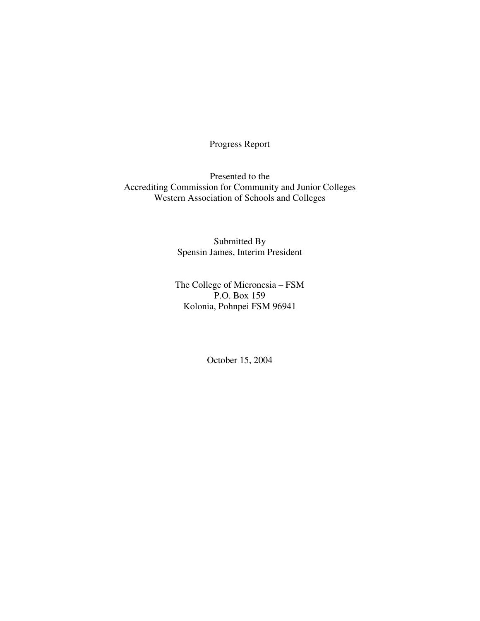Progress Report

Presented to the Accrediting Commission for Community and Junior Colleges Western Association of Schools and Colleges

> Submitted By Spensin James, Interim President

The College of Micronesia – FSM P.O. Box 159 Kolonia, Pohnpei FSM 96941

October 15, 2004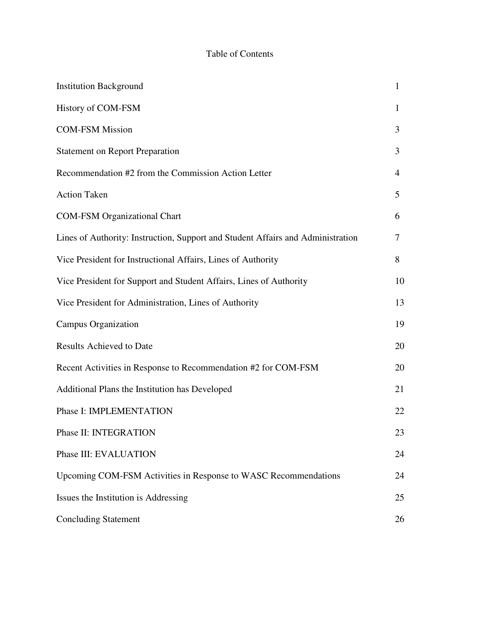# Table of Contents

| <b>Institution Background</b>                                                   | 1  |
|---------------------------------------------------------------------------------|----|
| History of COM-FSM                                                              | 1  |
| <b>COM-FSM Mission</b>                                                          | 3  |
| <b>Statement on Report Preparation</b>                                          | 3  |
| Recommendation #2 from the Commission Action Letter                             | 4  |
| <b>Action Taken</b>                                                             | 5  |
| <b>COM-FSM Organizational Chart</b>                                             | 6  |
| Lines of Authority: Instruction, Support and Student Affairs and Administration | 7  |
| Vice President for Instructional Affairs, Lines of Authority                    | 8  |
| Vice President for Support and Student Affairs, Lines of Authority              | 10 |
| Vice President for Administration, Lines of Authority                           | 13 |
| <b>Campus Organization</b>                                                      | 19 |
| <b>Results Achieved to Date</b>                                                 | 20 |
| Recent Activities in Response to Recommendation #2 for COM-FSM                  | 20 |
| Additional Plans the Institution has Developed                                  | 21 |
| Phase I: IMPLEMENTATION                                                         | 22 |
| Phase II: INTEGRATION                                                           | 23 |
| Phase III: EVALUATION                                                           | 24 |
| Upcoming COM-FSM Activities in Response to WASC Recommendations                 | 24 |
| Issues the Institution is Addressing                                            | 25 |
| <b>Concluding Statement</b>                                                     | 26 |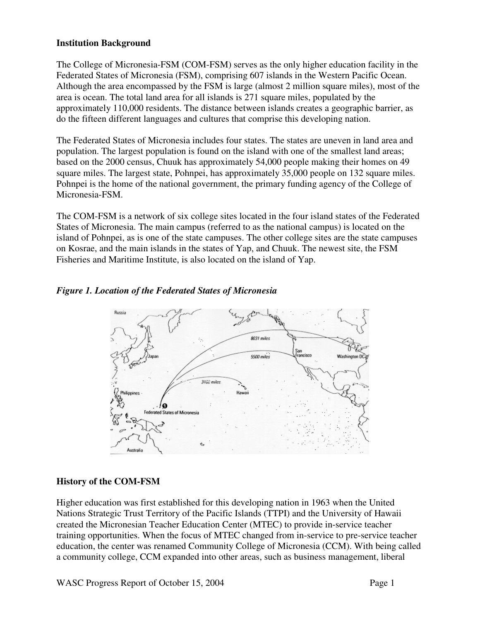#### **Institution Background**

The College of Micronesia-FSM (COM-FSM) serves as the only higher education facility in the Federated States of Micronesia (FSM), comprising 607 islands in the Western Pacific Ocean. Although the area encompassed by the FSM is large (almost 2 million square miles), most of the area is ocean. The total land area for all islands is 271 square miles, populated by the approximately 110,000 residents. The distance between islands creates a geographic barrier, as do the fifteen different languages and cultures that comprise this developing nation.

The Federated States of Micronesia includes four states. The states are uneven in land area and population. The largest population is found on the island with one of the smallest land areas; based on the 2000 census, Chuuk has approximately 54,000 people making their homes on 49 square miles. The largest state, Pohnpei, has approximately 35,000 people on 132 square miles. Pohnpei is the home of the national government, the primary funding agency of the College of Micronesia-FSM.

The COM-FSM is a network of six college sites located in the four island states of the Federated States of Micronesia. The main campus (referred to as the national campus) is located on the island of Pohnpei, as is one of the state campuses. The other college sites are the state campuses on Kosrae, and the main islands in the states of Yap, and Chuuk. The newest site, the FSM Fisheries and Maritime Institute, is also located on the island of Yap.

#### *Figure 1. Location of the Federated States of Micronesia*



## **History of the COM-FSM**

Higher education was first established for this developing nation in 1963 when the United Nations Strategic Trust Territory of the Pacific Islands (TTPI) and the University of Hawaii created the Micronesian Teacher Education Center (MTEC) to provide in-service teacher training opportunities. When the focus of MTEC changed from in-service to pre-service teacher education, the center was renamed Community College of Micronesia (CCM). With being called a community college, CCM expanded into other areas, such as business management, liberal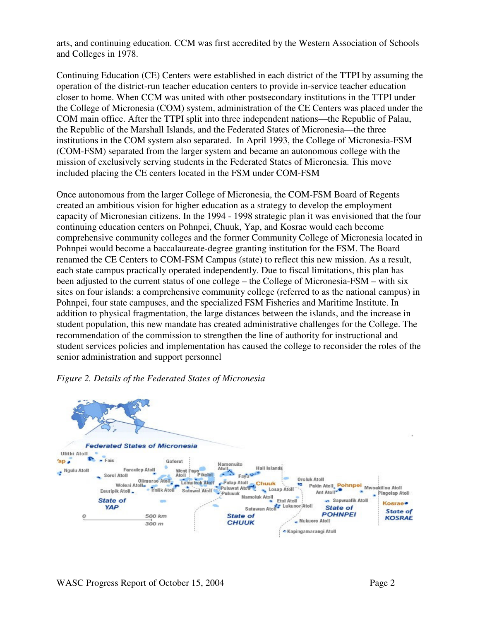arts, and continuing education. CCM was first accredited by the Western Association of Schools and Colleges in 1978.

Continuing Education (CE) Centers were established in each district of the TTPI by assuming the operation of the district-run teacher education centers to provide in-service teacher education closer to home. When CCM was united with other postsecondary institutions in the TTPI under the College of Micronesia (COM) system, administration of the CE Centers was placed under the COM main office. After the TTPI split into three independent nations—the Republic of Palau, the Republic of the Marshall Islands, and the Federated States of Micronesia—the three institutions in the COM system also separated. In April 1993, the College of Micronesia-FSM (COM-FSM) separated from the larger system and became an autonomous college with the mission of exclusively serving students in the Federated States of Micronesia. This move included placing the CE centers located in the FSM under COM-FSM

Once autonomous from the larger College of Micronesia, the COM-FSM Board of Regents created an ambitious vision for higher education as a strategy to develop the employment capacity of Micronesian citizens. In the 1994 - 1998 strategic plan it was envisioned that the four continuing education centers on Pohnpei, Chuuk, Yap, and Kosrae would each become comprehensive community colleges and the former Community College of Micronesia located in Pohnpei would become a baccalaureate-degree granting institution for the FSM. The Board renamed the CE Centers to COM-FSM Campus (state) to reflect this new mission. As a result, each state campus practically operated independently. Due to fiscal limitations, this plan has been adjusted to the current status of one college – the College of Micronesia-FSM – with six sites on four islands: a comprehensive community college (referred to as the national campus) in Pohnpei, four state campuses, and the specialized FSM Fisheries and Maritime Institute. In addition to physical fragmentation, the large distances between the islands, and the increase in student population, this new mandate has created administrative challenges for the College. The recommendation of the commission to strengthen the line of authority for instructional and student services policies and implementation has caused the college to reconsider the roles of the senior administration and support personnel



#### *Figure 2. Details of the Federated States of Micronesia*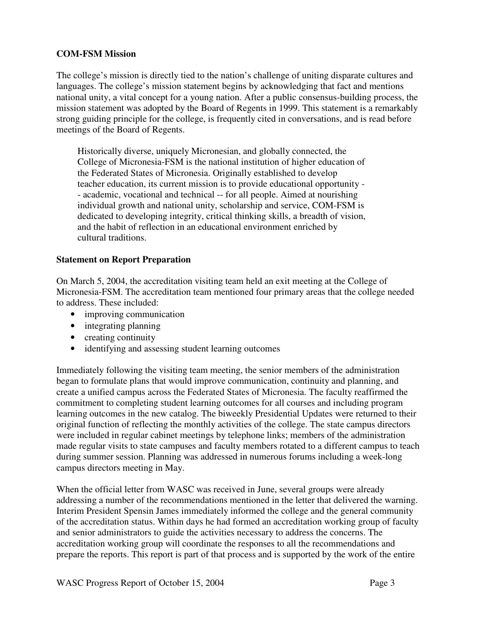#### **COM-FSM Mission**

The college's mission is directly tied to the nation's challenge of uniting disparate cultures and languages. The college's mission statement begins by acknowledging that fact and mentions national unity, a vital concept for a young nation. After a public consensus-building process, the mission statement was adopted by the Board of Regents in 1999. This statement is a remarkably strong guiding principle for the college, is frequently cited in conversations, and is read before meetings of the Board of Regents.

Historically diverse, uniquely Micronesian, and globally connected, the College of Micronesia-FSM is the national institution of higher education of the Federated States of Micronesia. Originally established to develop teacher education, its current mission is to provide educational opportunity - - academic, vocational and technical -- for all people. Aimed at nourishing individual growth and national unity, scholarship and service, COM-FSM is dedicated to developing integrity, critical thinking skills, a breadth of vision, and the habit of reflection in an educational environment enriched by cultural traditions.

#### **Statement on Report Preparation**

On March 5, 2004, the accreditation visiting team held an exit meeting at the College of Micronesia-FSM. The accreditation team mentioned four primary areas that the college needed to address. These included:

- improving communication
- integrating planning
- creating continuity
- identifying and assessing student learning outcomes

Immediately following the visiting team meeting, the senior members of the administration began to formulate plans that would improve communication, continuity and planning, and create a unified campus across the Federated States of Micronesia. The faculty reaffirmed the commitment to completing student learning outcomes for all courses and including program learning outcomes in the new catalog. The biweekly Presidential Updates were returned to their original function of reflecting the monthly activities of the college. The state campus directors were included in regular cabinet meetings by telephone links; members of the administration made regular visits to state campuses and faculty members rotated to a different campus to teach during summer session. Planning was addressed in numerous forums including a week-long campus directors meeting in May.

When the official letter from WASC was received in June, several groups were already addressing a number of the recommendations mentioned in the letter that delivered the warning. Interim President Spensin James immediately informed the college and the general community of the accreditation status. Within days he had formed an accreditation working group of faculty and senior administrators to guide the activities necessary to address the concerns. The accreditation working group will coordinate the responses to all the recommendations and prepare the reports. This report is part of that process and is supported by the work of the entire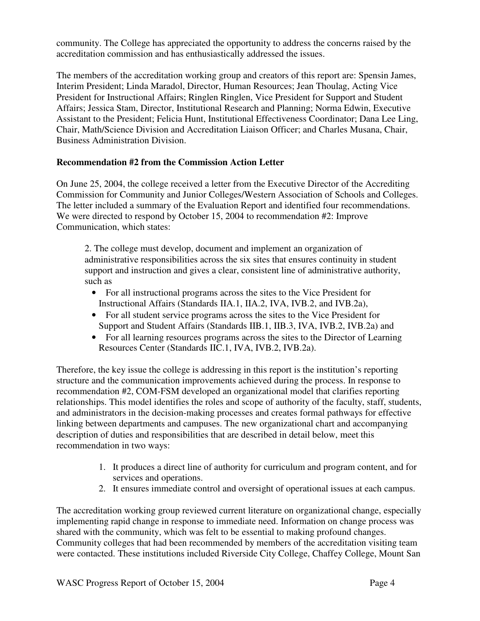community. The College has appreciated the opportunity to address the concerns raised by the accreditation commission and has enthusiastically addressed the issues.

The members of the accreditation working group and creators of this report are: Spensin James, Interim President; Linda Maradol, Director, Human Resources; Jean Thoulag, Acting Vice President for Instructional Affairs; Ringlen Ringlen, Vice President for Support and Student Affairs; Jessica Stam, Director, Institutional Research and Planning; Norma Edwin, Executive Assistant to the President; Felicia Hunt, Institutional Effectiveness Coordinator; Dana Lee Ling, Chair, Math/Science Division and Accreditation Liaison Officer; and Charles Musana, Chair, Business Administration Division.

## **Recommendation #2 from the Commission Action Letter**

On June 25, 2004, the college received a letter from the Executive Director of the Accrediting Commission for Community and Junior Colleges/Western Association of Schools and Colleges. The letter included a summary of the Evaluation Report and identified four recommendations. We were directed to respond by October 15, 2004 to recommendation #2: Improve Communication, which states:

2. The college must develop, document and implement an organization of administrative responsibilities across the six sites that ensures continuity in student support and instruction and gives a clear, consistent line of administrative authority, such as

- For all instructional programs across the sites to the Vice President for Instructional Affairs (Standards IIA.1, IIA.2, IVA, IVB.2, and IVB.2a),
- For all student service programs across the sites to the Vice President for Support and Student Affairs (Standards IIB.1, IIB.3, IVA, IVB.2, IVB.2a) and
- For all learning resources programs across the sites to the Director of Learning Resources Center (Standards IIC.1, IVA, IVB.2, IVB.2a).

Therefore, the key issue the college is addressing in this report is the institution's reporting structure and the communication improvements achieved during the process. In response to recommendation #2, COM-FSM developed an organizational model that clarifies reporting relationships. This model identifies the roles and scope of authority of the faculty, staff, students, and administrators in the decision-making processes and creates formal pathways for effective linking between departments and campuses. The new organizational chart and accompanying description of duties and responsibilities that are described in detail below, meet this recommendation in two ways:

- 1. It produces a direct line of authority for curriculum and program content, and for services and operations.
- 2. It ensures immediate control and oversight of operational issues at each campus.

The accreditation working group reviewed current literature on organizational change, especially implementing rapid change in response to immediate need. Information on change process was shared with the community, which was felt to be essential to making profound changes. Community colleges that had been recommended by members of the accreditation visiting team were contacted. These institutions included Riverside City College, Chaffey College, Mount San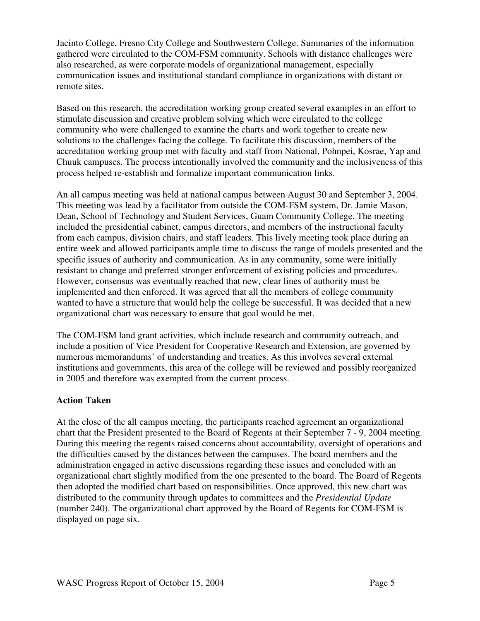Jacinto College, Fresno City College and Southwestern College. Summaries of the information gathered were circulated to the COM-FSM community. Schools with distance challenges were also researched, as were corporate models of organizational management, especially communication issues and institutional standard compliance in organizations with distant or remote sites.

Based on this research, the accreditation working group created several examples in an effort to stimulate discussion and creative problem solving which were circulated to the college community who were challenged to examine the charts and work together to create new solutions to the challenges facing the college. To facilitate this discussion, members of the accreditation working group met with faculty and staff from National, Pohnpei, Kosrae, Yap and Chuuk campuses. The process intentionally involved the community and the inclusiveness of this process helped re-establish and formalize important communication links.

An all campus meeting was held at national campus between August 30 and September 3, 2004. This meeting was lead by a facilitator from outside the COM-FSM system, Dr. Jamie Mason, Dean, School of Technology and Student Services, Guam Community College. The meeting included the presidential cabinet, campus directors, and members of the instructional faculty from each campus, division chairs, and staff leaders. This lively meeting took place during an entire week and allowed participants ample time to discuss the range of models presented and the specific issues of authority and communication. As in any community, some were initially resistant to change and preferred stronger enforcement of existing policies and procedures. However, consensus was eventually reached that new, clear lines of authority must be implemented and then enforced. It was agreed that all the members of college community wanted to have a structure that would help the college be successful. It was decided that a new organizational chart was necessary to ensure that goal would be met.

The COM-FSM land grant activities, which include research and community outreach, and include a position of Vice President for Cooperative Research and Extension, are governed by numerous memorandums' of understanding and treaties. As this involves several external institutions and governments, this area of the college will be reviewed and possibly reorganized in 2005 and therefore was exempted from the current process.

## **Action Taken**

At the close of the all campus meeting, the participants reached agreement an organizational chart that the President presented to the Board of Regents at their September 7 - 9, 2004 meeting. During this meeting the regents raised concerns about accountability, oversight of operations and the difficulties caused by the distances between the campuses. The board members and the administration engaged in active discussions regarding these issues and concluded with an organizational chart slightly modified from the one presented to the board. The Board of Regents then adopted the modified chart based on responsibilities. Once approved, this new chart was distributed to the community through updates to committees and the *Presidential Update*  (number 240). The organizational chart approved by the Board of Regents for COM-FSM is displayed on page six.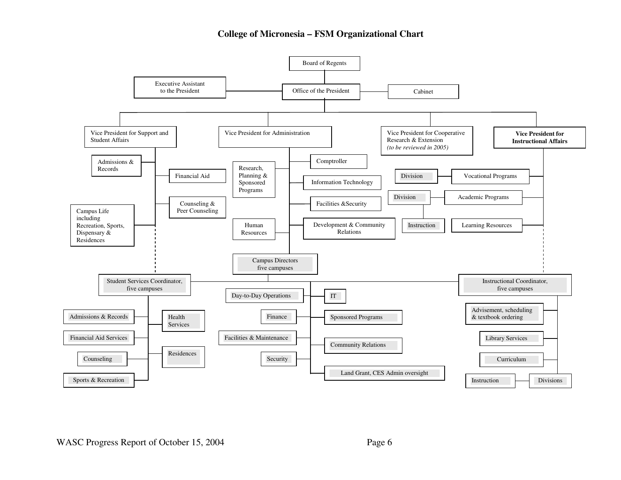#### **College of Micronesia – FSM Organizational Chart**

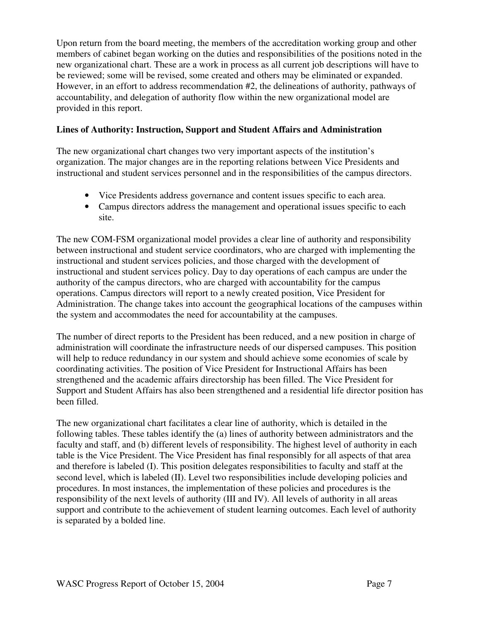Upon return from the board meeting, the members of the accreditation working group and other members of cabinet began working on the duties and responsibilities of the positions noted in the new organizational chart. These are a work in process as all current job descriptions will have to be reviewed; some will be revised, some created and others may be eliminated or expanded. However, in an effort to address recommendation #2, the delineations of authority, pathways of accountability, and delegation of authority flow within the new organizational model are provided in this report.

## **Lines of Authority: Instruction, Support and Student Affairs and Administration**

The new organizational chart changes two very important aspects of the institution's organization. The major changes are in the reporting relations between Vice Presidents and instructional and student services personnel and in the responsibilities of the campus directors.

- Vice Presidents address governance and content issues specific to each area.
- Campus directors address the management and operational issues specific to each site.

The new COM-FSM organizational model provides a clear line of authority and responsibility between instructional and student service coordinators, who are charged with implementing the instructional and student services policies, and those charged with the development of instructional and student services policy. Day to day operations of each campus are under the authority of the campus directors, who are charged with accountability for the campus operations. Campus directors will report to a newly created position, Vice President for Administration. The change takes into account the geographical locations of the campuses within the system and accommodates the need for accountability at the campuses.

The number of direct reports to the President has been reduced, and a new position in charge of administration will coordinate the infrastructure needs of our dispersed campuses. This position will help to reduce redundancy in our system and should achieve some economies of scale by coordinating activities. The position of Vice President for Instructional Affairs has been strengthened and the academic affairs directorship has been filled. The Vice President for Support and Student Affairs has also been strengthened and a residential life director position has been filled.

The new organizational chart facilitates a clear line of authority, which is detailed in the following tables. These tables identify the (a) lines of authority between administrators and the faculty and staff, and (b) different levels of responsibility. The highest level of authority in each table is the Vice President. The Vice President has final responsibly for all aspects of that area and therefore is labeled (I). This position delegates responsibilities to faculty and staff at the second level, which is labeled (II). Level two responsibilities include developing policies and procedures. In most instances, the implementation of these policies and procedures is the responsibility of the next levels of authority (III and IV). All levels of authority in all areas support and contribute to the achievement of student learning outcomes. Each level of authority is separated by a bolded line.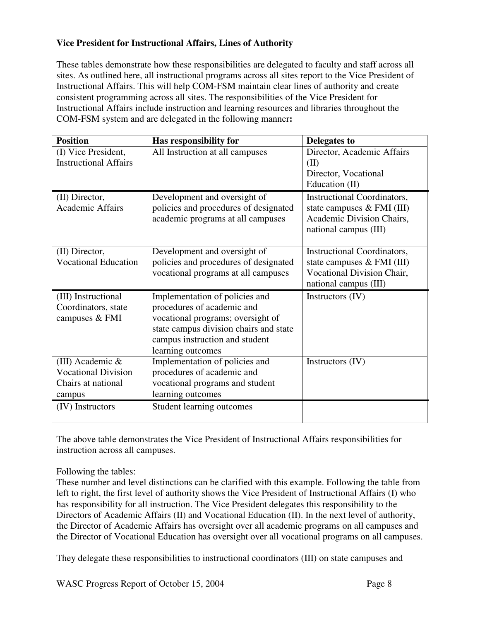## **Vice President for Instructional Affairs, Lines of Authority**

These tables demonstrate how these responsibilities are delegated to faculty and staff across all sites. As outlined here, all instructional programs across all sites report to the Vice President of Instructional Affairs. This will help COM-FSM maintain clear lines of authority and create consistent programming across all sites. The responsibilities of the Vice President for Instructional Affairs include instruction and learning resources and libraries throughout the COM-FSM system and are delegated in the following manner**:**

| <b>Position</b>                                  | Has responsibility for                               | <b>Delegates to</b>                |
|--------------------------------------------------|------------------------------------------------------|------------------------------------|
| (I) Vice President,                              | All Instruction at all campuses                      | Director, Academic Affairs         |
| <b>Instructional Affairs</b>                     |                                                      | (II)                               |
|                                                  |                                                      | Director, Vocational               |
|                                                  |                                                      | Education (II)                     |
| (II) Director,                                   | Development and oversight of                         | <b>Instructional Coordinators,</b> |
| Academic Affairs                                 | policies and procedures of designated                | state campuses & FMI (III)         |
|                                                  | academic programs at all campuses                    | Academic Division Chairs,          |
|                                                  |                                                      | national campus (III)              |
| (II) Director,                                   | Development and oversight of                         | <b>Instructional Coordinators,</b> |
| <b>Vocational Education</b>                      | policies and procedures of designated                | state campuses $\&$ FMI (III)      |
|                                                  | vocational programs at all campuses                  | Vocational Division Chair,         |
|                                                  |                                                      | national campus (III)              |
| (III) Instructional                              | Implementation of policies and                       | Instructors (IV)                   |
| Coordinators, state                              | procedures of academic and                           |                                    |
| campuses & FMI                                   | vocational programs; oversight of                    |                                    |
|                                                  | state campus division chairs and state               |                                    |
|                                                  | campus instruction and student                       |                                    |
|                                                  | learning outcomes                                    |                                    |
| (III) Academic &                                 | Implementation of policies and                       | Instructors (IV)                   |
| <b>Vocational Division</b><br>Chairs at national | procedures of academic and                           |                                    |
|                                                  | vocational programs and student<br>learning outcomes |                                    |
| campus                                           |                                                      |                                    |
| (IV) Instructors                                 | Student learning outcomes                            |                                    |

The above table demonstrates the Vice President of Instructional Affairs responsibilities for instruction across all campuses.

## Following the tables:

These number and level distinctions can be clarified with this example. Following the table from left to right, the first level of authority shows the Vice President of Instructional Affairs (I) who has responsibility for all instruction. The Vice President delegates this responsibility to the Directors of Academic Affairs (II) and Vocational Education (II). In the next level of authority, the Director of Academic Affairs has oversight over all academic programs on all campuses and the Director of Vocational Education has oversight over all vocational programs on all campuses.

They delegate these responsibilities to instructional coordinators (III) on state campuses and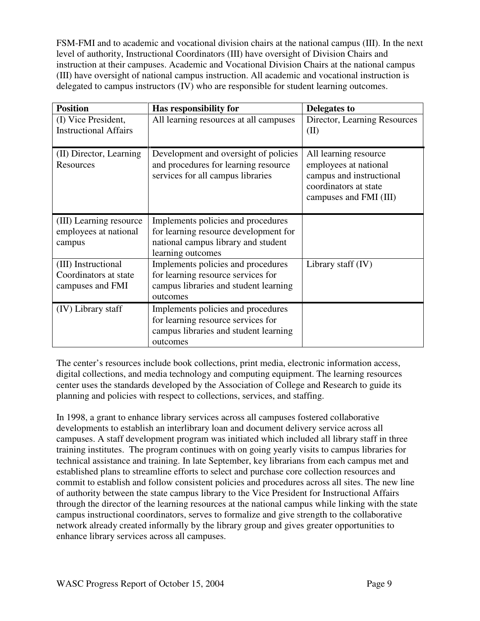FSM-FMI and to academic and vocational division chairs at the national campus (III). In the next level of authority, Instructional Coordinators (III) have oversight of Division Chairs and instruction at their campuses. Academic and Vocational Division Chairs at the national campus (III) have oversight of national campus instruction. All academic and vocational instruction is delegated to campus instructors (IV) who are responsible for student learning outcomes.

| <b>Position</b>                                                  | Has responsibility for                                                                                                                  | Delegates to                                                                                                                  |
|------------------------------------------------------------------|-----------------------------------------------------------------------------------------------------------------------------------------|-------------------------------------------------------------------------------------------------------------------------------|
| (I) Vice President,<br><b>Instructional Affairs</b>              | All learning resources at all campuses                                                                                                  | Director, Learning Resources<br>(II)                                                                                          |
| (II) Director, Learning<br>Resources                             | Development and oversight of policies<br>and procedures for learning resource<br>services for all campus libraries                      | All learning resource<br>employees at national<br>campus and instructional<br>coordinators at state<br>campuses and FMI (III) |
| (III) Learning resource<br>employees at national<br>campus       | Implements policies and procedures<br>for learning resource development for<br>national campus library and student<br>learning outcomes |                                                                                                                               |
| (III) Instructional<br>Coordinators at state<br>campuses and FMI | Implements policies and procedures<br>for learning resource services for<br>campus libraries and student learning<br>outcomes           | Library staff (IV)                                                                                                            |
| (IV) Library staff                                               | Implements policies and procedures<br>for learning resource services for<br>campus libraries and student learning<br>outcomes           |                                                                                                                               |

The center's resources include book collections, print media, electronic information access, digital collections, and media technology and computing equipment. The learning resources center uses the standards developed by the Association of College and Research to guide its planning and policies with respect to collections, services, and staffing.

In 1998, a grant to enhance library services across all campuses fostered collaborative developments to establish an interlibrary loan and document delivery service across all campuses. A staff development program was initiated which included all library staff in three training institutes. The program continues with on going yearly visits to campus libraries for technical assistance and training. In late September, key librarians from each campus met and established plans to streamline efforts to select and purchase core collection resources and commit to establish and follow consistent policies and procedures across all sites. The new line of authority between the state campus library to the Vice President for Instructional Affairs through the director of the learning resources at the national campus while linking with the state campus instructional coordinators, serves to formalize and give strength to the collaborative network already created informally by the library group and gives greater opportunities to enhance library services across all campuses.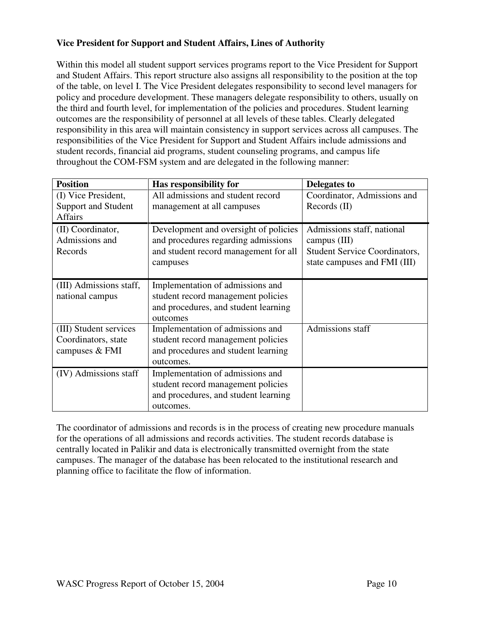## **Vice President for Support and Student Affairs, Lines of Authority**

Within this model all student support services programs report to the Vice President for Support and Student Affairs. This report structure also assigns all responsibility to the position at the top of the table, on level I. The Vice President delegates responsibility to second level managers for policy and procedure development. These managers delegate responsibility to others, usually on the third and fourth level, for implementation of the policies and procedures. Student learning outcomes are the responsibility of personnel at all levels of these tables. Clearly delegated responsibility in this area will maintain consistency in support services across all campuses. The responsibilities of the Vice President for Support and Student Affairs include admissions and student records, financial aid programs, student counseling programs, and campus life throughout the COM-FSM system and are delegated in the following manner:

| <b>Position</b>            | Has responsibility for                | Delegates to                         |
|----------------------------|---------------------------------------|--------------------------------------|
| (I) Vice President,        | All admissions and student record     | Coordinator, Admissions and          |
| <b>Support and Student</b> | management at all campuses            | Re cords (II)                        |
| <b>Affairs</b>             |                                       |                                      |
| (II) Coordinator,          | Development and oversight of policies | Admissions staff, national           |
| Admissions and             | and procedures regarding admissions   | campus $(III)$                       |
| Records                    | and student record management for all | <b>Student Service Coordinators,</b> |
|                            | campuses                              | state campuses and FMI (III)         |
|                            |                                       |                                      |
| (III) Admissions staff,    | Implementation of admissions and      |                                      |
| national campus            | student record management policies    |                                      |
|                            | and procedures, and student learning  |                                      |
|                            | outcomes                              |                                      |
| (III) Student services     | Implementation of admissions and      | Admissions staff                     |
| Coordinators, state        | student record management policies    |                                      |
| campuses & FMI             | and procedures and student learning   |                                      |
|                            | outcomes.                             |                                      |
| (IV) Admissions staff      | Implementation of admissions and      |                                      |
|                            | student record management policies    |                                      |
|                            | and procedures, and student learning  |                                      |
|                            | outcomes.                             |                                      |

The coordinator of admissions and records is in the process of creating new procedure manuals for the operations of all admissions and records activities. The student records database is centrally located in Palikir and data is electronically transmitted overnight from the state campuses. The manager of the database has been relocated to the institutional research and planning office to facilitate the flow of information.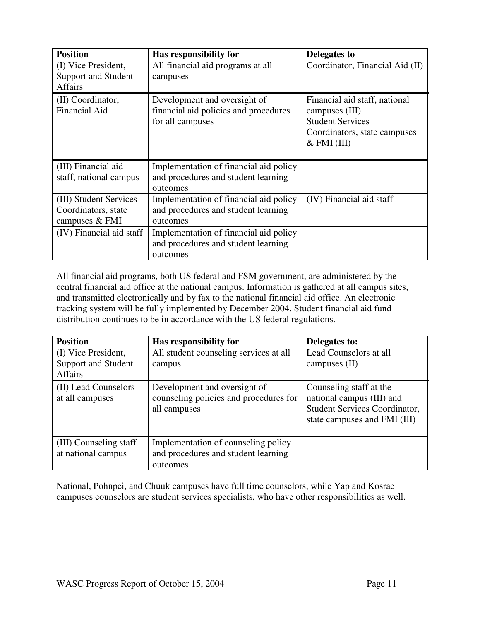| <b>Position</b>          | Has responsibility for                 | Delegates to                    |
|--------------------------|----------------------------------------|---------------------------------|
| (I) Vice President,      | All financial aid programs at all      | Coordinator, Financial Aid (II) |
| Support and Student      | campuses                               |                                 |
| <b>Affairs</b>           |                                        |                                 |
| (II) Coordinator,        | Development and oversight of           | Financial aid staff, national   |
| <b>Financial Aid</b>     | financial aid policies and procedures  | campuses (III)                  |
|                          | for all campuses                       | <b>Student Services</b>         |
|                          |                                        | Coordinators, state campuses    |
|                          |                                        | $&$ FMI (III)                   |
|                          |                                        |                                 |
| (III) Financial aid      | Implementation of financial aid policy |                                 |
| staff, national campus   | and procedures and student learning    |                                 |
|                          | outcomes                               |                                 |
| (III) Student Services   | Implementation of financial aid policy | (IV) Financial aid staff        |
| Coordinators, state      | and procedures and student learning    |                                 |
| campuses & FMI           | outcomes                               |                                 |
| (IV) Financial aid staff | Implementation of financial aid policy |                                 |
|                          | and procedures and student learning    |                                 |
|                          | outcomes                               |                                 |

All financial aid programs, both US federal and FSM government, are administered by the central financial aid office at the national campus. Information is gathered at all campus sites, and transmitted electronically and by fax to the national financial aid office. An electronic tracking system will be fully implemented by December 2004. Student financial aid fund distribution continues to be in accordance with the US federal regulations.

| <b>Position</b><br>(I) Vice President,<br>Support and Student | Has responsibility for<br>All student counseling services at all                       | Delegates to:<br>Lead Counselors at all                                                                                      |
|---------------------------------------------------------------|----------------------------------------------------------------------------------------|------------------------------------------------------------------------------------------------------------------------------|
| <b>Affairs</b>                                                | campus                                                                                 | campuses $(II)$                                                                                                              |
| (II) Lead Counselors<br>at all campuses                       | Development and oversight of<br>counseling policies and procedures for<br>all campuses | Counseling staff at the<br>national campus (III) and<br><b>Student Services Coordinator,</b><br>state campuses and FMI (III) |
| (III) Counseling staff<br>at national campus                  | Implementation of counseling policy<br>and procedures and student learning<br>outcomes |                                                                                                                              |

National, Pohnpei, and Chuuk campuses have full time counselors, while Yap and Kosrae campuses counselors are student services specialists, who have other responsibilities as well.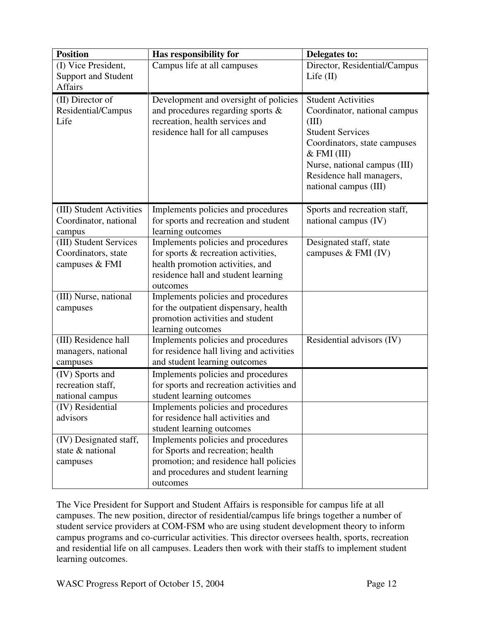| <b>Position</b>                                                                         | Has responsibility for                                                                                                                                                                                              | Delegates to:                                                                                                                                                                                                                       |
|-----------------------------------------------------------------------------------------|---------------------------------------------------------------------------------------------------------------------------------------------------------------------------------------------------------------------|-------------------------------------------------------------------------------------------------------------------------------------------------------------------------------------------------------------------------------------|
| (I) Vice President,<br><b>Support and Student</b><br><b>Affairs</b>                     | Campus life at all campuses                                                                                                                                                                                         | Director, Residential/Campus<br>Life $(II)$                                                                                                                                                                                         |
| (II) Director of<br>Residential/Campus<br>Life                                          | Development and oversight of policies<br>and procedures regarding sports &<br>recreation, health services and<br>residence hall for all campuses                                                                    | <b>Student Activities</b><br>Coordinator, national campus<br>(III)<br><b>Student Services</b><br>Coordinators, state campuses<br>$&$ FMI (III)<br>Nurse, national campus (III)<br>Residence hall managers,<br>national campus (III) |
| (III) Student Activities<br>Coordinator, national<br>campus                             | Implements policies and procedures<br>for sports and recreation and student<br>learning outcomes                                                                                                                    | Sports and recreation staff,<br>national campus (IV)                                                                                                                                                                                |
| (III) Student Services<br>Coordinators, state<br>campuses & FMI                         | Implements policies and procedures<br>for sports & recreation activities,<br>health promotion activities, and<br>residence hall and student learning<br>outcomes                                                    | Designated staff, state<br>campuses $&$ FMI (IV)                                                                                                                                                                                    |
| (III) Nurse, national<br>campuses                                                       | Implements policies and procedures<br>for the outpatient dispensary, health<br>promotion activities and student<br>learning outcomes                                                                                |                                                                                                                                                                                                                                     |
| (III) Residence hall<br>managers, national<br>campuses                                  | Implements policies and procedures<br>for residence hall living and activities<br>and student learning outcomes                                                                                                     | Residential advisors (IV)                                                                                                                                                                                                           |
| (IV) Sports and<br>recreation staff,<br>national campus<br>(IV) Residential<br>advisors | Implements policies and procedures<br>for sports and recreation activities and<br>student learning outcomes<br>Implements policies and procedures<br>for residence hall activities and<br>student learning outcomes |                                                                                                                                                                                                                                     |
| (IV) Designated staff,<br>state & national<br>campuses                                  | Implements policies and procedures<br>for Sports and recreation; health<br>promotion; and residence hall policies<br>and procedures and student learning<br>outcomes                                                |                                                                                                                                                                                                                                     |

The Vice President for Support and Student Affairs is responsible for campus life at all campuses. The new position, director of residential/campus life brings together a number of student service providers at COM-FSM who are using student development theory to inform campus programs and co-curricular activities. This director oversees health, sports, recreation and residential life on all campuses. Leaders then work with their staffs to implement student learning outcomes.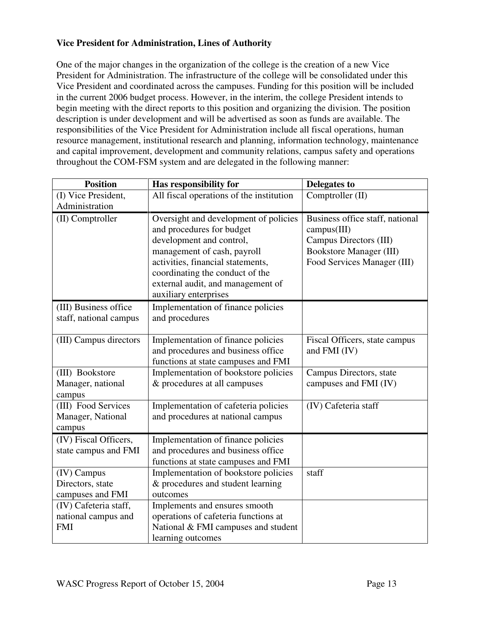## **Vice President for Administration, Lines of Authority**

One of the major changes in the organization of the college is the creation of a new Vice President for Administration. The infrastructure of the college will be consolidated under this Vice President and coordinated across the campuses. Funding for this position will be included in the current 2006 budget process. However, in the interim, the college President intends to begin meeting with the direct reports to this position and organizing the division. The position description is under development and will be advertised as soon as funds are available. The responsibilities of the Vice President for Administration include all fiscal operations, human resource management, institutional research and planning, information technology, maintenance and capital improvement, development and community relations, campus safety and operations throughout the COM-FSM system and are delegated in the following manner:

| <b>Position</b>        | Has responsibility for                   | <b>Delegates to</b>             |
|------------------------|------------------------------------------|---------------------------------|
| (I) Vice President,    | All fiscal operations of the institution | Comptroller (II)                |
| Administration         |                                          |                                 |
| (II) Comptroller       | Oversight and development of policies    | Business office staff, national |
|                        | and procedures for budget                | campus(III)                     |
|                        | development and control,                 | Campus Directors (III)          |
|                        | management of cash, payroll              | <b>Bookstore Manager (III)</b>  |
|                        | activities, financial statements,        | Food Services Manager (III)     |
|                        | coordinating the conduct of the          |                                 |
|                        | external audit, and management of        |                                 |
|                        | auxiliary enterprises                    |                                 |
| (III) Business office  | Implementation of finance policies       |                                 |
| staff, national campus | and procedures                           |                                 |
|                        |                                          |                                 |
| (III) Campus directors | Implementation of finance policies       | Fiscal Officers, state campus   |
|                        | and procedures and business office       | and FMI (IV)                    |
|                        | functions at state campuses and FMI      |                                 |
| (III) Bookstore        | Implementation of bookstore policies     | Campus Directors, state         |
| Manager, national      | & procedures at all campuses             | campuses and FMI (IV)           |
| campus                 |                                          |                                 |
| (III) Food Services    | Implementation of cafeteria policies     | (IV) Cafeteria staff            |
| Manager, National      | and procedures at national campus        |                                 |
| campus                 |                                          |                                 |
| (IV) Fiscal Officers,  | Implementation of finance policies       |                                 |
| state campus and FMI   | and procedures and business office       |                                 |
|                        | functions at state campuses and FMI      |                                 |
| (IV) Campus            | Implementation of bookstore policies     | staff                           |
| Directors, state       | & procedures and student learning        |                                 |
| campuses and FMI       | outcomes                                 |                                 |
| (IV) Cafeteria staff,  | Implements and ensures smooth            |                                 |
| national campus and    | operations of cafeteria functions at     |                                 |
| <b>FMI</b>             | National & FMI campuses and student      |                                 |
|                        | learning outcomes                        |                                 |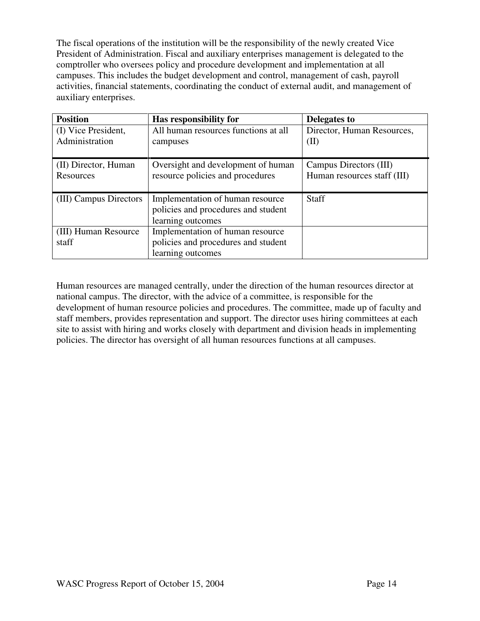The fiscal operations of the institution will be the responsibility of the newly created Vice President of Administration. Fiscal and auxiliary enterprises management is delegated to the comptroller who oversees policy and procedure development and implementation at all campuses. This includes the budget development and control, management of cash, payroll activities, financial statements, coordinating the conduct of external audit, and management of auxiliary enterprises.

| <b>Position</b>                       | Has responsibility for                           | Delegates to                       |
|---------------------------------------|--------------------------------------------------|------------------------------------|
| (I) Vice President,<br>Administration | All human resources functions at all<br>campuses | Director, Human Resources,<br>(II) |
|                                       |                                                  |                                    |
| (II) Director, Human                  | Oversight and development of human               | Campus Directors (III)             |
| Resources                             | resource policies and procedures                 | Human resources staff (III)        |
|                                       |                                                  |                                    |
| (III) Campus Directors                | Implementation of human resource                 | <b>Staff</b>                       |
|                                       | policies and procedures and student              |                                    |
|                                       | learning outcomes                                |                                    |
| (III) Human Resource                  | Implementation of human resource                 |                                    |
| staff                                 | policies and procedures and student              |                                    |
|                                       | learning outcomes                                |                                    |

Human resources are managed centrally, under the direction of the human resources director at national campus. The director, with the advice of a committee, is responsible for the development of human resource policies and procedures. The committee, made up of faculty and staff members, provides representation and support. The director uses hiring committees at each site to assist with hiring and works closely with department and division heads in implementing policies. The director has oversight of all human resources functions at all campuses.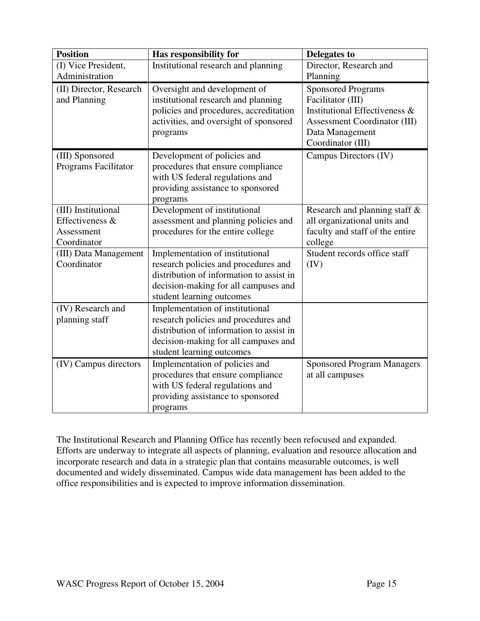| <b>Position</b>         | Has responsibility for                   | <b>Delegates to</b>                 |
|-------------------------|------------------------------------------|-------------------------------------|
| (I) Vice President,     | Institutional research and planning      | Director, Research and              |
| Administration          |                                          | Planning                            |
| (II) Director, Research | Oversight and development of             | <b>Sponsored Programs</b>           |
| and Planning            | institutional research and planning      | Facilitator (III)                   |
|                         | policies and procedures, accreditation   | Institutional Effectiveness &       |
|                         | activities, and oversight of sponsored   | <b>Assessment Coordinator (III)</b> |
|                         | programs                                 | Data Management                     |
|                         |                                          | Coordinator (III)                   |
| (III) Sponsored         | Development of policies and              | Campus Directors (IV)               |
| Programs Facilitator    | procedures that ensure compliance        |                                     |
|                         | with US federal regulations and          |                                     |
|                         | providing assistance to sponsored        |                                     |
|                         | programs                                 |                                     |
| (III) Institutional     | Development of institutional             | Research and planning staff &       |
| Effectiveness &         | assessment and planning policies and     | all organizational units and        |
| Assessment              | procedures for the entire college        | faculty and staff of the entire     |
| Coordinator             |                                          | college                             |
| (III) Data Management   | Implementation of institutional          | Student records office staff        |
| Coordinator             | research policies and procedures and     | (IV)                                |
|                         | distribution of information to assist in |                                     |
|                         | decision-making for all campuses and     |                                     |
|                         | student learning outcomes                |                                     |
| (IV) Research and       | Implementation of institutional          |                                     |
| planning staff          | research policies and procedures and     |                                     |
|                         | distribution of information to assist in |                                     |
|                         | decision-making for all campuses and     |                                     |
|                         | student learning outcomes                |                                     |
| (IV) Campus directors   | Implementation of policies and           | <b>Sponsored Program Managers</b>   |
|                         | procedures that ensure compliance        | at all campuses                     |
|                         | with US federal regulations and          |                                     |
|                         | providing assistance to sponsored        |                                     |
|                         | programs                                 |                                     |

The Institutional Research and Planning Office has recently been refocused and expanded. Efforts are underway to integrate all aspects of planning, evaluation and resource allocation and incorporate research and data in a strategic plan that contains measurable outcomes, is well documented and widely disseminated. Campus wide data management has been added to the office responsibilities and is expected to improve information dissemination.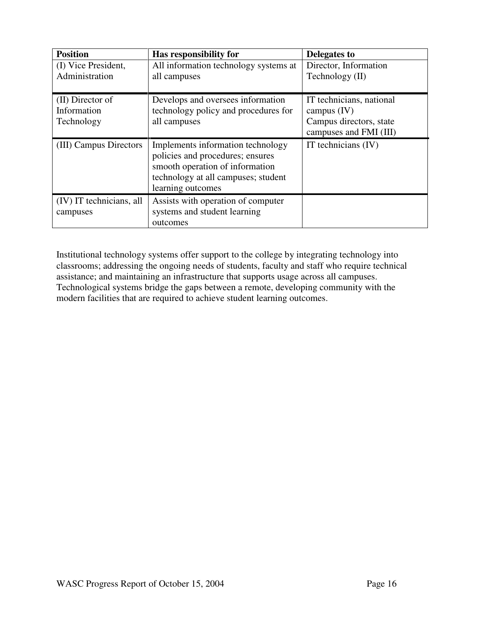| <b>Position</b>          | Has responsibility for                | Delegates to             |
|--------------------------|---------------------------------------|--------------------------|
| (I) Vice President,      | All information technology systems at | Director, Information    |
| Administration           | all campuses                          | Technology (II)          |
|                          |                                       |                          |
| (II) Director of         | Develops and oversees information     | IT technicians, national |
| Information              | technology policy and procedures for  | campus $(IV)$            |
| Technology               | all campuses                          | Campus directors, state  |
|                          |                                       | campuses and FMI (III)   |
| (III) Campus Directors   | Implements information technology     | IT technicians $(IV)$    |
|                          | policies and procedures; ensures      |                          |
|                          | smooth operation of information       |                          |
|                          | technology at all campuses; student   |                          |
|                          | learning outcomes                     |                          |
| (IV) IT technicians, all | Assists with operation of computer    |                          |
| campuses                 | systems and student learning          |                          |
|                          | outcomes                              |                          |

Institutional technology systems offer support to the college by integrating technology into classrooms; addressing the ongoing needs of students, faculty and staff who require technical assistance; and maintaining an infrastructure that supports usage across all campuses. Technological systems bridge the gaps between a remote, developing community with the modern facilities that are required to achieve student learning outcomes.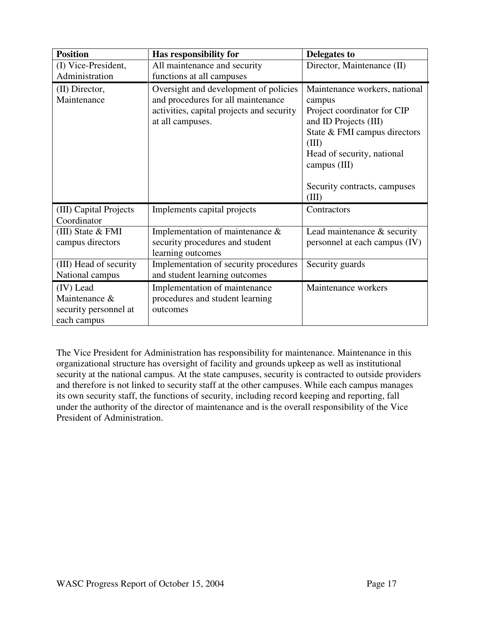| <b>Position</b>                                                    | Has responsibility for                                                                                                                       | Delegates to                                                                                                                                                                                                                    |
|--------------------------------------------------------------------|----------------------------------------------------------------------------------------------------------------------------------------------|---------------------------------------------------------------------------------------------------------------------------------------------------------------------------------------------------------------------------------|
| (I) Vice-President,                                                | All maintenance and security                                                                                                                 | Director, Maintenance (II)                                                                                                                                                                                                      |
| Administration                                                     | functions at all campuses                                                                                                                    |                                                                                                                                                                                                                                 |
| (II) Director,<br>Maintenance                                      | Oversight and development of policies<br>and procedures for all maintenance<br>activities, capital projects and security<br>at all campuses. | Maintenance workers, national<br>campus<br>Project coordinator for CIP<br>and ID Projects (III)<br>State & FMI campus directors<br>(III)<br>Head of security, national<br>campus (III)<br>Security contracts, campuses<br>(III) |
| (III) Capital Projects<br>Coordinator                              | Implements capital projects                                                                                                                  | Contractors                                                                                                                                                                                                                     |
| (III) State $&$ FMI<br>campus directors                            | Implementation of maintenance &<br>security procedures and student<br>learning outcomes                                                      | Lead maintenance $\&$ security<br>personnel at each campus (IV)                                                                                                                                                                 |
| (III) Head of security<br>National campus                          | Implementation of security procedures<br>and student learning outcomes                                                                       | Security guards                                                                                                                                                                                                                 |
| (IV) Lead<br>Maintenance &<br>security personnel at<br>each campus | Implementation of maintenance<br>procedures and student learning<br>outcomes                                                                 | Maintenance workers                                                                                                                                                                                                             |

The Vice President for Administration has responsibility for maintenance. Maintenance in this organizational structure has oversight of facility and grounds upkeep as well as institutional security at the national campus. At the state campuses, security is contracted to outside providers and therefore is not linked to security staff at the other campuses. While each campus manages its own security staff, the functions of security, including record keeping and reporting, fall under the authority of the director of maintenance and is the overall responsibility of the Vice President of Administration.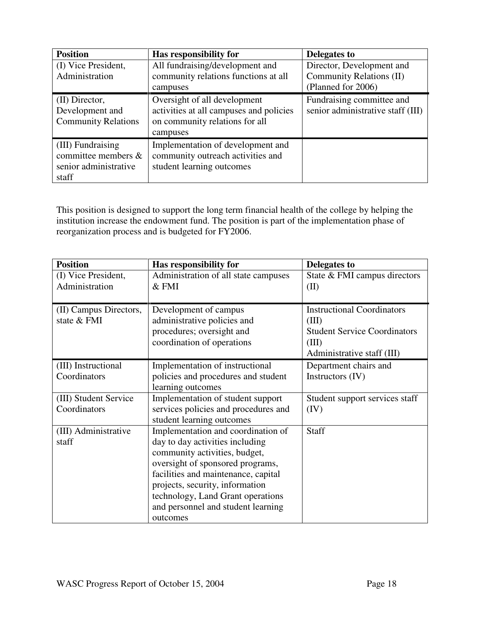| <b>Position</b>            | Has responsibility for                  | Delegates to                      |
|----------------------------|-----------------------------------------|-----------------------------------|
| (I) Vice President,        | All fundraising/development and         | Director, Development and         |
| Administration             | community relations functions at all    | Community Relations (II)          |
|                            | campuses                                | (Planned for 2006)                |
| (II) Director,             | Oversight of all development            | Fundraising committee and         |
| Development and            | activities at all campuses and policies | senior administrative staff (III) |
| <b>Community Relations</b> | on community relations for all          |                                   |
|                            | campuses                                |                                   |
| (III) Fundraising          | Implementation of development and       |                                   |
| committee members $\&$     | community outreach activities and       |                                   |
| senior administrative      | student learning outcomes               |                                   |
| staff                      |                                         |                                   |

This position is designed to support the long term financial health of the college by helping the institution increase the endowment fund. The position is part of the implementation phase of reorganization process and is budgeted for FY2006.

| <b>Position</b>        | Has responsibility for               | Delegates to                        |
|------------------------|--------------------------------------|-------------------------------------|
| (I) Vice President,    | Administration of all state campuses | State & FMI campus directors        |
| Administration         | $\&$ FMI                             | (II)                                |
|                        |                                      |                                     |
| (II) Campus Directors, | Development of campus                | <b>Instructional Coordinators</b>   |
| state & FMI            | administrative policies and          | (III)                               |
|                        | procedures; oversight and            | <b>Student Service Coordinators</b> |
|                        | coordination of operations           | (III)                               |
|                        |                                      | Administrative staff (III)          |
| (III) Instructional    | Implementation of instructional      | Department chairs and               |
| Coordinators           | policies and procedures and student  | Instructors (IV)                    |
|                        | learning outcomes                    |                                     |
| (III) Student Service  | Implementation of student support    | Student support services staff      |
| Coordinators           | services policies and procedures and | (IV)                                |
|                        | student learning outcomes            |                                     |
| (III) Administrative   | Implementation and coordination of   | Staff                               |
| staff                  | day to day activities including      |                                     |
|                        | community activities, budget,        |                                     |
|                        | oversight of sponsored programs,     |                                     |
|                        | facilities and maintenance, capital  |                                     |
|                        | projects, security, information      |                                     |
|                        | technology, Land Grant operations    |                                     |
|                        | and personnel and student learning   |                                     |
|                        | outcomes                             |                                     |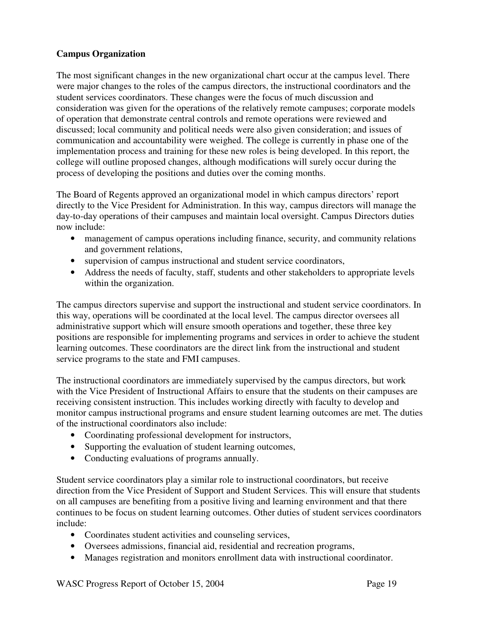## **Campus Organization**

The most significant changes in the new organizational chart occur at the campus level. There were major changes to the roles of the campus directors, the instructional coordinators and the student services coordinators. These changes were the focus of much discussion and consideration was given for the operations of the relatively remote campuses; corporate models of operation that demonstrate central controls and remote operations were reviewed and discussed; local community and political needs were also given consideration; and issues of communication and accountability were weighed. The college is currently in phase one of the implementation process and training for these new roles is being developed. In this report, the college will outline proposed changes, although modifications will surely occur during the process of developing the positions and duties over the coming months.

The Board of Regents approved an organizational model in which campus directors' report directly to the Vice President for Administration. In this way, campus directors will manage the day-to-day operations of their campuses and maintain local oversight. Campus Directors duties now include:

- management of campus operations including finance, security, and community relations and government relations,
- supervision of campus instructional and student service coordinators,
- Address the needs of faculty, staff, students and other stakeholders to appropriate levels within the organization.

The campus directors supervise and support the instructional and student service coordinators. In this way, operations will be coordinated at the local level. The campus director oversees all administrative support which will ensure smooth operations and together, these three key positions are responsible for implementing programs and services in order to achieve the student learning outcomes. These coordinators are the direct link from the instructional and student service programs to the state and FMI campuses.

The instructional coordinators are immediately supervised by the campus directors, but work with the Vice President of Instructional Affairs to ensure that the students on their campuses are receiving consistent instruction. This includes working directly with faculty to develop and monitor campus instructional programs and ensure student learning outcomes are met. The duties of the instructional coordinators also include:

- Coordinating professional development for instructors,
- Supporting the evaluation of student learning outcomes,
- Conducting evaluations of programs annually.

Student service coordinators play a similar role to instructional coordinators, but receive direction from the Vice President of Support and Student Services. This will ensure that students on all campuses are benefiting from a positive living and learning environment and that there continues to be focus on student learning outcomes. Other duties of student services coordinators include:

- Coordinates student activities and counseling services,
- Oversees admissions, financial aid, residential and recreation programs,
- Manages registration and monitors enrollment data with instructional coordinator.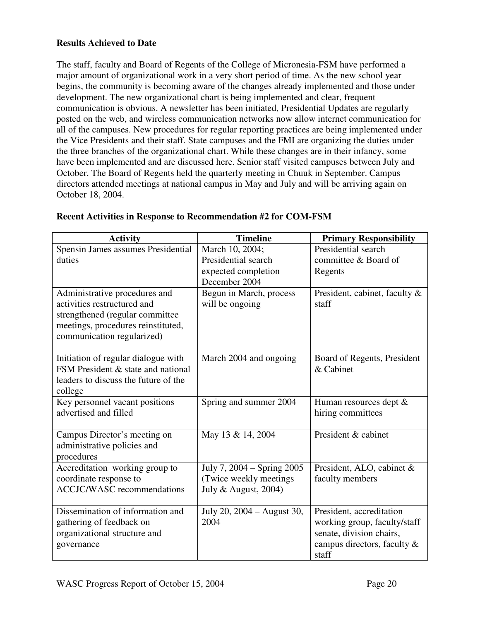## **Results Achieved to Date**

The staff, faculty and Board of Regents of the College of Micronesia-FSM have performed a major amount of organizational work in a very short period of time. As the new school year begins, the community is becoming aware of the changes already implemented and those under development. The new organizational chart is being implemented and clear, frequent communication is obvious. A newsletter has been initiated, Presidential Updates are regularly posted on the web, and wireless communication networks now allow internet communication for all of the campuses. New procedures for regular reporting practices are being implemented under the Vice Presidents and their staff. State campuses and the FMI are organizing the duties under the three branches of the organizational chart. While these changes are in their infancy, some have been implemented and are discussed here. Senior staff visited campuses between July and October. The Board of Regents held the quarterly meeting in Chuuk in September. Campus directors attended meetings at national campus in May and July and will be arriving again on October 18, 2004.

| <b>Activity</b>                      | <b>Timeline</b>            | <b>Primary Responsibility</b> |
|--------------------------------------|----------------------------|-------------------------------|
| Spensin James assumes Presidential   | March 10, 2004;            | Presidential search           |
| duties                               | Presidential search        | committee & Board of          |
|                                      | expected completion        | Regents                       |
|                                      | December 2004              |                               |
| Administrative procedures and        | Begun in March, process    | President, cabinet, faculty & |
| activities restructured and          | will be ongoing            | staff                         |
| strengthened (regular committee      |                            |                               |
| meetings, procedures reinstituted,   |                            |                               |
| communication regularized)           |                            |                               |
|                                      |                            |                               |
| Initiation of regular dialogue with  | March 2004 and ongoing     | Board of Regents, President   |
| FSM President & state and national   |                            | & Cabinet                     |
| leaders to discuss the future of the |                            |                               |
| college                              |                            |                               |
| Key personnel vacant positions       | Spring and summer 2004     | Human resources dept $\&$     |
| advertised and filled                |                            | hiring committees             |
| Campus Director's meeting on         | May 13 & 14, 2004          | President & cabinet           |
| administrative policies and          |                            |                               |
| procedures                           |                            |                               |
| Accreditation working group to       | July 7, 2004 – Spring 2005 | President, ALO, cabinet &     |
| coordinate response to               | (Twice weekly meetings     | faculty members               |
| <b>ACCJC/WASC</b> recommendations    | July & August, 2004)       |                               |
|                                      |                            |                               |
| Dissemination of information and     | July 20, 2004 - August 30, | President, accreditation      |
| gathering of feedback on             | 2004                       | working group, faculty/staff  |
| organizational structure and         |                            | senate, division chairs,      |
| governance                           |                            | campus directors, faculty &   |
|                                      |                            | staff                         |

#### **Recent Activities in Response to Recommendation #2 for COM-FSM**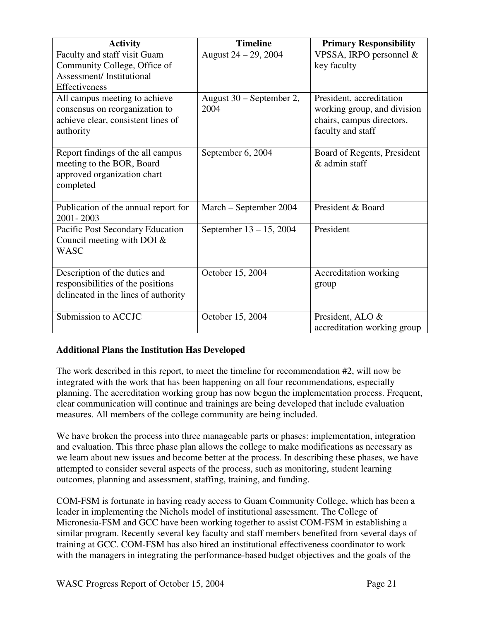| <b>Activity</b>                                                                                                    | <b>Timeline</b>                  | <b>Primary Responsibility</b>                                                                             |
|--------------------------------------------------------------------------------------------------------------------|----------------------------------|-----------------------------------------------------------------------------------------------------------|
| Faculty and staff visit Guam<br>Community College, Office of<br><b>Assessment/Institutional</b>                    | August 24 – 29, 2004             | VPSSA, IRPO personnel &<br>key faculty                                                                    |
| Effectiveness                                                                                                      |                                  |                                                                                                           |
| All campus meeting to achieve<br>consensus on reorganization to<br>achieve clear, consistent lines of<br>authority | August 30 – September 2,<br>2004 | President, accreditation<br>working group, and division<br>chairs, campus directors,<br>faculty and staff |
| Report findings of the all campus<br>meeting to the BOR, Board<br>approved organization chart<br>completed         | September 6, 2004                | Board of Regents, President<br>& admin staff                                                              |
| Publication of the annual report for<br>2001-2003                                                                  | March – September 2004           | President & Board                                                                                         |
| Pacific Post Secondary Education<br>Council meeting with DOI $&$<br><b>WASC</b>                                    | September 13 – 15, 2004          | President                                                                                                 |
| Description of the duties and<br>responsibilities of the positions<br>delineated in the lines of authority         | October 15, 2004                 | Accreditation working<br>group                                                                            |
| Submission to ACCJC                                                                                                | October 15, 2004                 | President, ALO &<br>accreditation working group                                                           |

# **Additional Plans the Institution Has Developed**

The work described in this report, to meet the timeline for recommendation #2, will now be integrated with the work that has been happening on all four recommendations, especially planning. The accreditation working group has now begun the implementation process. Frequent, clear communication will continue and trainings are being developed that include evaluation measures. All members of the college community are being included.

We have broken the process into three manageable parts or phases: implementation, integration and evaluation. This three phase plan allows the college to make modifications as necessary as we learn about new issues and become better at the process. In describing these phases, we have attempted to consider several aspects of the process, such as monitoring, student learning outcomes, planning and assessment, staffing, training, and funding.

COM-FSM is fortunate in having ready access to Guam Community College, which has been a leader in implementing the Nichols model of institutional assessment. The College of Micronesia-FSM and GCC have been working together to assist COM-FSM in establishing a similar program. Recently several key faculty and staff members benefited from several days of training at GCC. COM-FSM has also hired an institutional effectiveness coordinator to work with the managers in integrating the performance-based budget objectives and the goals of the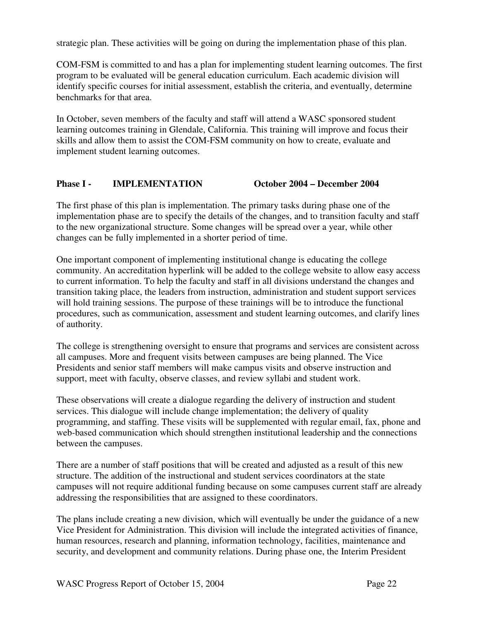strategic plan. These activities will be going on during the implementation phase of this plan.

COM-FSM is committed to and has a plan for implementing student learning outcomes. The first program to be evaluated will be general education curriculum. Each academic division will identify specific courses for initial assessment, establish the criteria, and eventually, determine benchmarks for that area.

In October, seven members of the faculty and staff will attend a WASC sponsored student learning outcomes training in Glendale, California. This training will improve and focus their skills and allow them to assist the COM-FSM community on how to create, evaluate and implement student learning outcomes.

## **Phase I - IMPLEMENTATION October 2004 – December 2004**

The first phase of this plan is implementation. The primary tasks during phase one of the implementation phase are to specify the details of the changes, and to transition faculty and staff to the new organizational structure. Some changes will be spread over a year, while other changes can be fully implemented in a shorter period of time.

One important component of implementing institutional change is educating the college community. An accreditation hyperlink will be added to the college website to allow easy access to current information. To help the faculty and staff in all divisions understand the changes and transition taking place, the leaders from instruction, administration and student support services will hold training sessions. The purpose of these trainings will be to introduce the functional procedures, such as communication, assessment and student learning outcomes, and clarify lines of authority.

The college is strengthening oversight to ensure that programs and services are consistent across all campuses. More and frequent visits between campuses are being planned. The Vice Presidents and senior staff members will make campus visits and observe instruction and support, meet with faculty, observe classes, and review syllabi and student work.

These observations will create a dialogue regarding the delivery of instruction and student services. This dialogue will include change implementation; the delivery of quality programming, and staffing. These visits will be supplemented with regular email, fax, phone and web-based communication which should strengthen institutional leadership and the connections between the campuses.

There are a number of staff positions that will be created and adjusted as a result of this new structure. The addition of the instructional and student services coordinators at the state campuses will not require additional funding because on some campuses current staff are already addressing the responsibilities that are assigned to these coordinators.

The plans include creating a new division, which will eventually be under the guidance of a new Vice President for Administration. This division will include the integrated activities of finance, human resources, research and planning, information technology, facilities, maintenance and security, and development and community relations. During phase one, the Interim President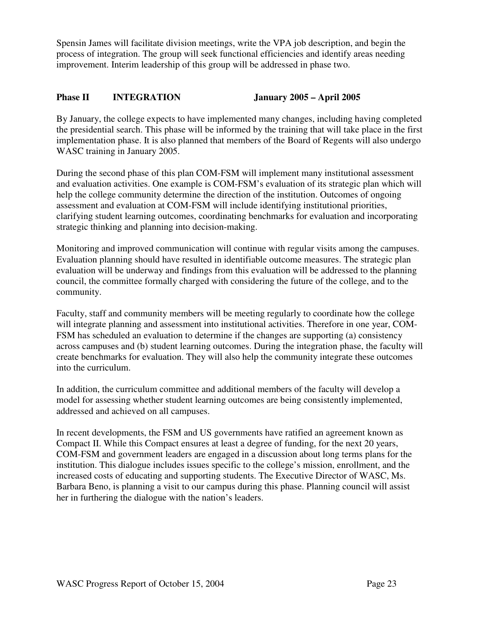Spensin James will facilitate division meetings, write the VPA job description, and begin the process of integration. The group will seek functional efficiencies and identify areas needing improvement. Interim leadership of this group will be addressed in phase two.

# **Phase II INTEGRATION January 2005 – April 2005**

By January, the college expects to have implemented many changes, including having completed the presidential search. This phase will be informed by the training that will take place in the first implementation phase. It is also planned that members of the Board of Regents will also undergo WASC training in January 2005.

During the second phase of this plan COM-FSM will implement many institutional assessment and evaluation activities. One example is COM-FSM's evaluation of its strategic plan which will help the college community determine the direction of the institution. Outcomes of ongoing assessment and evaluation at COM-FSM will include identifying institutional priorities, clarifying student learning outcomes, coordinating benchmarks for evaluation and incorporating strategic thinking and planning into decision-making.

Monitoring and improved communication will continue with regular visits among the campuses. Evaluation planning should have resulted in identifiable outcome measures. The strategic plan evaluation will be underway and findings from this evaluation will be addressed to the planning council, the committee formally charged with considering the future of the college, and to the community.

Faculty, staff and community members will be meeting regularly to coordinate how the college will integrate planning and assessment into institutional activities. Therefore in one year, COM-FSM has scheduled an evaluation to determine if the changes are supporting (a) consistency across campuses and (b) student learning outcomes. During the integration phase, the faculty will create benchmarks for evaluation. They will also help the community integrate these outcomes into the curriculum.

In addition, the curriculum committee and additional members of the faculty will develop a model for assessing whether student learning outcomes are being consistently implemented, addressed and achieved on all campuses.

In recent developments, the FSM and US governments have ratified an agreement known as Compact II. While this Compact ensures at least a degree of funding, for the next 20 years, COM-FSM and government leaders are engaged in a discussion about long terms plans for the institution. This dialogue includes issues specific to the college's mission, enrollment, and the increased costs of educating and supporting students. The Executive Director of WASC, Ms. Barbara Beno, is planning a visit to our campus during this phase. Planning council will assist her in furthering the dialogue with the nation's leaders.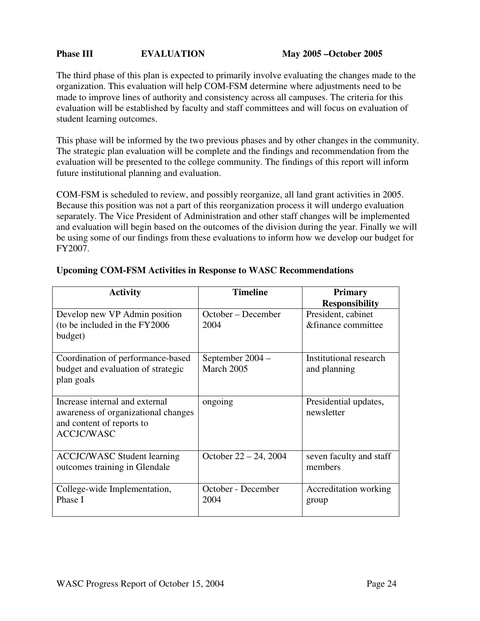#### **Phase III 62 EVALUATION** May 2005 – October 2005

The third phase of this plan is expected to primarily involve evaluating the changes made to the organization. This evaluation will help COM-FSM determine where adjustments need to be made to improve lines of authority and consistency across all campuses. The criteria for this evaluation will be established by faculty and staff committees and will focus on evaluation of student learning outcomes.

This phase will be informed by the two previous phases and by other changes in the community. The strategic plan evaluation will be complete and the findings and recommendation from the evaluation will be presented to the college community. The findings of this report will inform future institutional planning and evaluation.

COM-FSM is scheduled to review, and possibly reorganize, all land grant activities in 2005. Because this position was not a part of this reorganization process it will undergo evaluation separately. The Vice President of Administration and other staff changes will be implemented and evaluation will begin based on the outcomes of the division during the year. Finally we will be using some of our findings from these evaluations to inform how we develop our budget for FY2007.

| <b>Activity</b>                     | <b>Timeline</b>          | <b>Primary</b>          |
|-------------------------------------|--------------------------|-------------------------|
|                                     |                          | <b>Responsibility</b>   |
| Develop new VP Admin position       | October – December       | President, cabinet      |
| (to be included in the FY2006)      | 2004                     | &finance committee      |
| budget)                             |                          |                         |
|                                     |                          |                         |
| Coordination of performance-based   | September 2004 –         | Institutional research  |
| budget and evaluation of strategic  | March 2005               | and planning            |
| plan goals                          |                          |                         |
|                                     |                          |                         |
| Increase internal and external      | ongoing                  | Presidential updates,   |
| awareness of organizational changes |                          | newsletter              |
| and content of reports to           |                          |                         |
| <b>ACCJC/WASC</b>                   |                          |                         |
|                                     |                          |                         |
| <b>ACCJC/WASC Student learning</b>  | October $22 - 24$ , 2004 | seven faculty and staff |
| outcomes training in Glendale       |                          | members                 |
|                                     |                          |                         |
| College-wide Implementation,        | October - December       | Accreditation working   |
| Phase I                             | 2004                     | group                   |
|                                     |                          |                         |

#### **Upcoming COM-FSM Activities in Response to WASC Recommendations**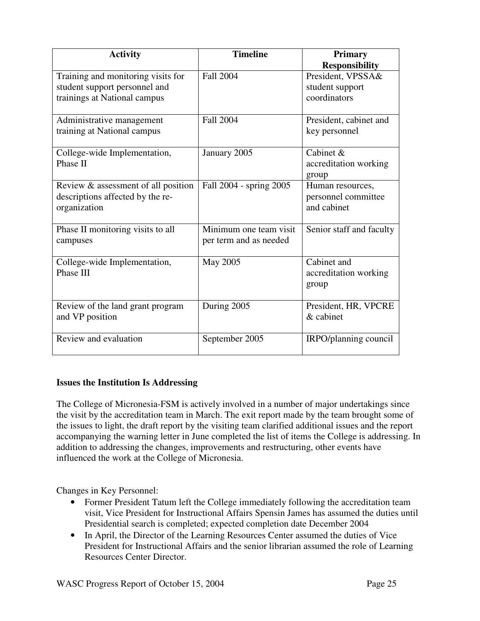| <b>Activity</b>                                                                                     | <b>Timeline</b>                                  | <b>Primary</b><br><b>Responsibility</b>                |
|-----------------------------------------------------------------------------------------------------|--------------------------------------------------|--------------------------------------------------------|
| Training and monitoring visits for<br>student support personnel and<br>trainings at National campus | <b>Fall 2004</b>                                 | President, VPSSA&<br>student support<br>coordinators   |
| Administrative management<br>training at National campus                                            | <b>Fall 2004</b>                                 | President, cabinet and<br>key personnel                |
| College-wide Implementation,<br>Phase II                                                            | January 2005                                     | Cabinet $\&$<br>accreditation working<br>group         |
| Review & assessment of all position<br>descriptions affected by the re-<br>organization             | Fall 2004 - spring 2005                          | Human resources,<br>personnel committee<br>and cabinet |
| Phase II monitoring visits to all<br>campuses                                                       | Minimum one team visit<br>per term and as needed | Senior staff and faculty                               |
| College-wide Implementation,<br>Phase III                                                           | May 2005                                         | Cabinet and<br>accreditation working<br>group          |
| Review of the land grant program<br>and VP position                                                 | During 2005                                      | President, HR, VPCRE<br>& cabinet                      |
| Review and evaluation                                                                               | September 2005                                   | IRPO/planning council                                  |

## **Issues the Institution Is Addressing**

The College of Micronesia-FSM is actively involved in a number of major undertakings since the visit by the accreditation team in March. The exit report made by the team brought some of the issues to light, the draft report by the visiting team clarified additional issues and the report accompanying the warning letter in June completed the list of items the College is addressing. In addition to addressing the changes, improvements and restructuring, other events have influenced the work at the College of Micronesia.

Changes in Key Personnel:

- Former President Tatum left the College immediately following the accreditation team visit, Vice President for Instructional Affairs Spensin James has assumed the duties until Presidential search is completed; expected completion date December 2004
- In April, the Director of the Learning Resources Center assumed the duties of Vice President for Instructional Affairs and the senior librarian assumed the role of Learning Resources Center Director.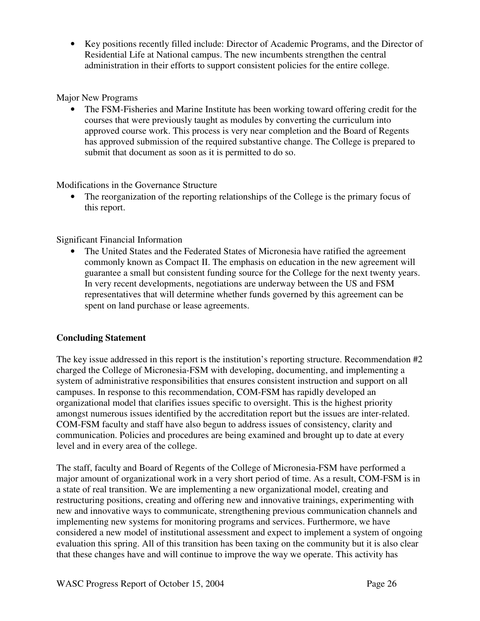• Key positions recently filled include: Director of Academic Programs, and the Director of Residential Life at National campus. The new incumbents strengthen the central administration in their efforts to support consistent policies for the entire college.

## Major New Programs

• The FSM-Fisheries and Marine Institute has been working toward offering credit for the courses that were previously taught as modules by converting the curriculum into approved course work. This process is very near completion and the Board of Regents has approved submission of the required substantive change. The College is prepared to submit that document as soon as it is permitted to do so.

Modifications in the Governance Structure

• The reorganization of the reporting relationships of the College is the primary focus of this report.

# Significant Financial Information

The United States and the Federated States of Micronesia have ratified the agreement commonly known as Compact II. The emphasis on education in the new agreement will guarantee a small but consistent funding source for the College for the next twenty years. In very recent developments, negotiations are underway between the US and FSM representatives that will determine whether funds governed by this agreement can be spent on land purchase or lease agreements.

# **Concluding Statement**

The key issue addressed in this report is the institution's reporting structure. Recommendation #2 charged the College of Micronesia-FSM with developing, documenting, and implementing a system of administrative responsibilities that ensures consistent instruction and support on all campuses. In response to this recommendation, COM-FSM has rapidly developed an organizational model that clarifies issues specific to oversight. This is the highest priority amongst numerous issues identified by the accreditation report but the issues are inter-related. COM-FSM faculty and staff have also begun to address issues of consistency, clarity and communication. Policies and procedures are being examined and brought up to date at every level and in every area of the college.

The staff, faculty and Board of Regents of the College of Micronesia-FSM have performed a major amount of organizational work in a very short period of time. As a result, COM-FSM is in a state of real transition. We are implementing a new organizational model, creating and restructuring positions, creating and offering new and innovative trainings, experimenting with new and innovative ways to communicate, strengthening previous communication channels and implementing new systems for monitoring programs and services. Furthermore, we have considered a new model of institutional assessment and expect to implement a system of ongoing evaluation this spring. All of this transition has been taxing on the community but it is also clear that these changes have and will continue to improve the way we operate. This activity has